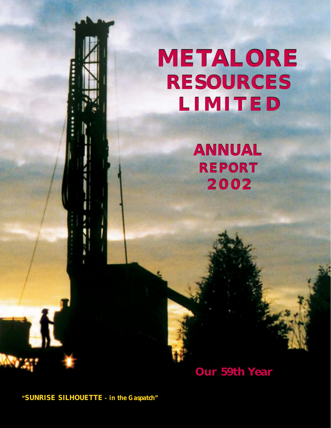

**ANNUAL REPORT 2002**

# **Our 59th Year**

*"SUNRISE SILHOUETTE - in the Gaspatch"*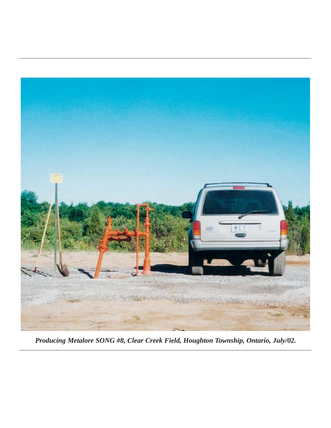

*Producing Metalore SONG #8, Clear Creek Field, Houghton Township, Ontario, July/02.*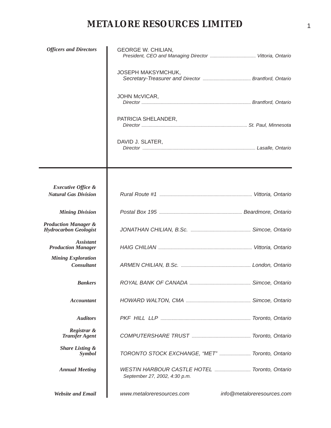| <b>Officers and Directors</b>                                   | <b>GEORGE W. CHILIAN,</b>                       |                            |
|-----------------------------------------------------------------|-------------------------------------------------|----------------------------|
|                                                                 | JOSEPH MAKSYMCHUK,                              |                            |
|                                                                 | JOHN McVICAR,                                   |                            |
|                                                                 | PATRICIA SHELANDER,                             |                            |
|                                                                 | DAVID J. SLATER,                                |                            |
|                                                                 |                                                 |                            |
| <b>Executive Office &amp;</b><br><b>Natural Gas Division</b>    |                                                 |                            |
| <b>Mining Division</b>                                          |                                                 |                            |
| <b>Production Manager &amp;</b><br><b>Hydrocarbon Geologist</b> |                                                 |                            |
| <i>Assistant</i><br><b>Production Manager</b>                   |                                                 |                            |
| <b>Mining Exploration</b><br><b>Consultant</b>                  |                                                 |                            |
| <b>Bankers</b>                                                  |                                                 |                            |
| <b>Accountant</b>                                               |                                                 |                            |
| <b>Auditors</b>                                                 |                                                 |                            |
| Registrar &<br><b>Transfer Agent</b>                            |                                                 |                            |
| <b>Share Listing &amp;</b><br>Symbol                            | TORONTO STOCK EXCHANGE, "MET"  Toronto, Ontario |                            |
| <b>Annual Meeting</b>                                           | September 27, 2002, 4:30 p.m.                   |                            |
| <b>Website and Email</b>                                        | www.metaloreresources.com                       | info@metaloreresources.com |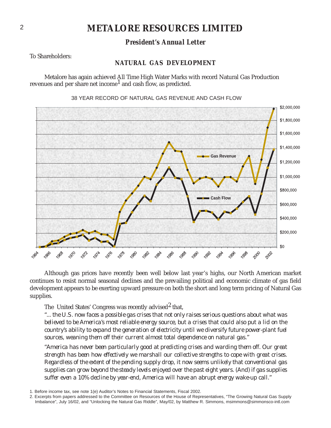# *President's Annual Letter*

To Shareholders:

## **NATURAL GAS DEVELOPMENT**

Metalore has again achieved All Time High Water Marks with record Natural Gas Production revenues and per share net income<sup>1</sup> and cash flow, as predicted.



## 38 YEAR RECORD OF NATURAL GAS REVENUE AND CASH FLOW

Although gas prices have recently been well below last year's highs, our North American market continues to resist normal seasonal declines and the prevailing political and economic climate of gas field development appears to be exerting upward pressure on both the short and long term pricing of Natural Gas supplies.

The United States' Congress was recently advised<sup>2</sup> that,

*"... the U.S. now faces a possible gas crises that not only raises serious questions about what was believed to be America's most reliable energy source, but a crises that could also put a lid on the country's ability to expand the generation of electricity until we diversify future power-plant fuel sources, weaning them off their current almost total dependence on natural gas."*

*"America has never been particularly good at predicting crises and warding them off. Our great strength has been how effectively we marshall our collective strengths to cope with great crises. Regardless of the extent of the pending supply drop, it now seems unlikely that conventional gas supplies can grow beyond the steady levels enjoyed over the past eight years. (And) if gas supplies suffer even a 10% decline by year-end, America will have an abrupt energy wake-up call."*

<sup>1.</sup> Before income tax, see note 1(e) Auditor's Notes to Financial Statements, Fiscal 2002.

<sup>2.</sup> Excerpts from papers addressed to the Committee on Resources of the House of Representatives, "The Growing Natural Gas Supply Imbalance", July 16/02, and "Unlocking the Natural Gas Riddle", May/02, by Matthew R. Simmons, msimmons@simmonsco-intl.com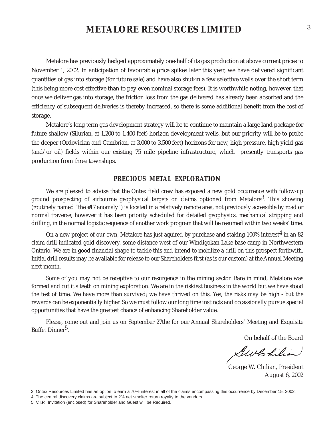Metalore has previously hedged approximately one-half of its gas production at above current prices to November 1, 2002. In anticipation of favourable price spikes later this year, we have delivered significant quantities of gas into storage (for future sale) and have also shut-in a few selective wells over the short term (this being more cost effective than to pay even nominal storage fees). It is worthwhile noting, however, that once we deliver gas into storage, the friction loss from the gas delivered has already been absorbed and the efficiency of subsequent deliveries is thereby increased, so there is some additional benefit from the cost of storage.

Metalore's long term gas development strategy will be to continue to maintain a large land package for future shallow (Silurian, at 1,200 to 1,400 feet) horizon development wells, but our priority will be to probe the deeper (Ordovician and Cambrian, at 3,000 to 3,500 feet) horizons for new, high pressure, high yield gas (and/or oil) fields within our existing 75 mile pipeline infrastructure, which presently transports gas production from three townships.

## **PRECIOUS METAL EXPLORATION**

We are pleased to advise that the Ontex field crew has exposed a new gold occurrence with follow-up ground prospecting of airbourne geophysical targets on claims optioned from Metalore<sup>3</sup>. This showing (routinely named "the #17 anomaly") is located in a relatively remote area, not previously accessible by road or normal traverse; however it has been priority scheduled for detailed geophysics, mechanical stripping and drilling, in the normal logistic sequence of another work program that will be resumed within two weeks' time.

On a new project of our own, Metalore has just aquired by purchase and staking 100% interest<sup>4</sup> in an 82 claim drill indicated gold discovery, some distance west of our Windigokan Lake base camp in Northwestern Ontario. We are in good financial shape to tackle this and intend to mobilize a drill on this prospect forthwith. Initial drill results may be available for release to our Shareholders first (as is our custom) at the Annual Meeting next month.

Some of you may not be receptive to our resurgence in the mining sector. Bare in mind, Metalore was formed and cut it's teeth on mining exploration. We are in the riskiest business in the world but we have stood the test of time. We have more than survived; we have thrived on this. Yes, the risks may be high - but the rewards can be exponentially higher. So we must follow our long time instincts and occassionally pursue special opportunities that have the greatest chance of enhancing Shareholder value.

Please, come out and join us on September 27the for our Annual Shareholders' Meeting and Exquisite Buffet Dinner<sup>5</sup>.

On behalf of the Board

GwChilian

George W. Chilian, President August 6, 2002

3. Ontex Resources Limited has an option to earn a 70% interest in all of the claims encompassing this occurrence by December 15, 2002.

4. The central discovery claims are subject to 2% net smelter return royalty to the vendors.

<sup>5.</sup> V.I.P. Invitation (enclosed) for Shareholder and Guest will be Required.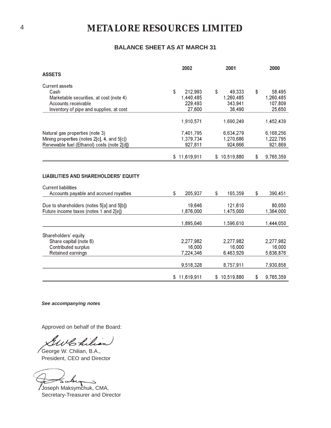## **BALANCE SHEET AS AT MARCH 31**

|                                                                      | 2002          | 2001          | 2000            |
|----------------------------------------------------------------------|---------------|---------------|-----------------|
| <b>ASSETS</b>                                                        |               |               |                 |
| <b>Current assets</b>                                                |               |               |                 |
| Cash                                                                 | \$<br>212,993 | \$<br>49,333  | \$<br>58,495    |
| Marketable securities, at cost (note 4)                              | 1,440,485     | 1,260,485     | 1,260,485       |
| Accounts receivable                                                  | 229,493       | 343,941       | 107,809         |
| Inventory of pipe and supplies, at cost                              | 27,600        | 36,490        | 25,650          |
|                                                                      | 1,910,571     | 1,690,249     | 1,452,439       |
| Natural gas properties (note 3)                                      | 7,401,795     | 6,634,279     | 6,168,256       |
| Mining properties (notes 2[c], 4, and 5[c])                          | 1,379,734     | 1,270,686     | 1,222,795       |
| Renewable fuel (Ethanol) costs (note 2[d])                           | 927,811       | 924,666       | 921,869         |
|                                                                      | \$11,619,911  | \$10,519,880  | \$<br>9,765,359 |
| <b>Current liabilities</b><br>Accounts payable and accrued royalties | \$<br>205,937 | \$<br>165,359 | \$<br>390,451   |
| Due to shareholders (notes 5[a] and 5[b])                            | 19,646        | 121,610       | 80,050          |
| Future income taxes (notes 1 and 2[e])                               | 1,876,000     | 1,475,000     | 1,364,000       |
|                                                                      | 1,895,646     | 1,596,610     | 1,444,050       |
| Shareholders' equity                                                 |               |               |                 |
| Share capital (note 6)                                               | 2,277,982     | 2,277,982     | 2,277,982       |
| Contributed surplus                                                  | 16,000        | 16,000        | 16,000          |
| Retained earnings                                                    | 7,224,346     | 6,463,929     | 5,636,876       |
|                                                                      | 9,518,328     | 8,757,911     | 7,930,858       |
|                                                                      | \$11,619,911  | \$10,519,880  | \$<br>9,765,359 |

**See accompanying notes**

Approved on behalf of the Board:

Whilian

George W. Chilian, B.A., President, CEO and Director

Joseph Maksymchuk, CMA,

Secretary-Treasurer and Director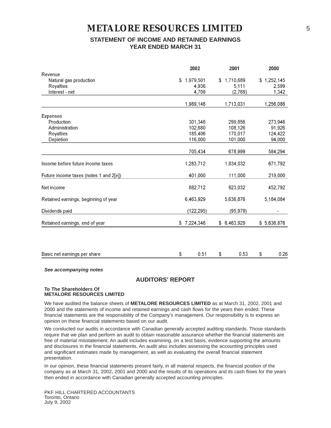# **STATEMENT OF INCOME AND RETAINED EARNINGS YEAR ENDED MARCH 31**

|                                        | 2002            | 2001            | 2000        |
|----------------------------------------|-----------------|-----------------|-------------|
| Revenue                                |                 |                 |             |
| Natural gas production                 | 1,979,501<br>\$ | 1,710,689<br>\$ | \$1,252,145 |
| <b>Royalties</b>                       | 4,936           | 5,111           | 2,599       |
| Interest - net                         | 4,709           | (2,769)         | 1,342       |
|                                        | 1,989,146       | 1,713,031       | 1,256,086   |
| <b>Expenses</b>                        |                 |                 |             |
| Production                             | 301,348         | 299,856         | 273,946     |
| Administration                         | 102,680         | 108,126         | 91,926      |
| Royalties                              | 185,406         | 170,017         | 124,422     |
| Depletion                              | 116,000         | 101,000         | 94,000      |
|                                        | 705,434         | 678,999         | 584,294     |
| Income before future income taxes      | 1,283,712       | 1,034,032       | 671,792     |
| Future income taxes (notes 1 and 2[e]) | 401,000         | 111,000         | 219,000     |
| Net income                             | 882,712         | 923,032         | 452,792     |
| Retained earnings, beginning of year   | 6,463,929       | 5,636,876       | 5,184,084   |
| Dividends paid                         | (122, 295)      | (95, 979)       |             |
| Retained earnings, end of year         | \$7,224,346     | \$6,463,929     | \$5,636,876 |
|                                        |                 |                 |             |
| Basic net earnings per share           | 0.51<br>\$      | \$<br>0.53      | \$<br>0.26  |
|                                        |                 |                 |             |

**See accompanying notes**

## **AUDITORS' REPORT**

## **To The Shareholders Of METALORE RESOURCES LIMITED**

We have audited the balance sheets of **METALORE RESOURCES LIMITED** as at March 31, 2002, 2001 and 2000 and the statements of income and retained earnings and cash flows for the years then ended. These financial statements are the responsibility of the Company's management. Our responsibility is to express an opinion on these financial statements based on our audit.

We conducted our audits in accordance with Canadian generally accepted auditing standards. Those standards require that we plan and perform an audit to obtain reasonable assurance whether the financial statements are free of material misstatement. An audit includes examining, on a test basis, evidence supporting the amounts and disclosures in the financial statements. An audit also includes assessing the accounting principles used and significant estimates made by management, as well as evaluating the overall financial statement presentation.

In our opinion, these financial statements present fairly, in all material respects, the financial position of the company as at March 31, 2002, 2001 and 2000 and the results of its operations and its cash flows for the years then ended in accordance with Canadian generally accepted accounting principles.

PKF HILL CHARTERED ACCOUNTANTS Toronto, Ontario July 9, 2002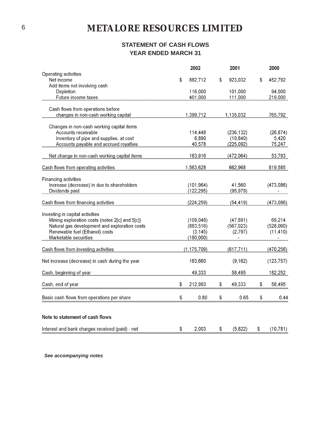# **STATEMENT OF CASH FLOWS YEAR ENDED MARCH 31**

|                                                                                   | 2002                     |    | 2001                    |    | 2000               |
|-----------------------------------------------------------------------------------|--------------------------|----|-------------------------|----|--------------------|
| Operating activities                                                              |                          |    |                         |    |                    |
| Net income                                                                        | \$<br>882,712            | \$ | 923,032                 | S  | 452,792            |
| Add items not involving cash<br>Depletion                                         | 116,000                  |    | 101,000                 |    | 94,000             |
| Future income taxes                                                               | 401,000                  |    | 111,000                 |    | 219,000            |
|                                                                                   |                          |    |                         |    |                    |
| Cash flows from operations before                                                 |                          |    |                         |    |                    |
| changes in non-cash working capital                                               | 1,399,712                |    | 1,135,032               |    | 765,792            |
|                                                                                   |                          |    |                         |    |                    |
| Changes in non-cash working capital items                                         |                          |    |                         |    |                    |
| Accounts receivable<br>Inventory of pipe and supplies, at cost                    | 114,448<br>8,890         |    | (236, 132)<br>(10, 840) |    | (26, 874)<br>5,420 |
| Accounts payable and accrued royalties                                            | 40,578                   |    | (225, 092)              |    | 75,247             |
|                                                                                   |                          |    |                         |    |                    |
| Net change in non-cash working capital items                                      | 163,916                  |    | (472,064)               |    | 53,793             |
| Cash flows from operating activities                                              | 1,563,628                |    | 662,968                 |    | 819,585            |
| Financing activities                                                              |                          |    |                         |    |                    |
| Increase (decrease) in due to shareholders                                        | (101, 964)               |    | 41,560                  |    | (473,086)          |
| Dividends paid                                                                    | (122, 295)               |    | (95, 979)               |    |                    |
| Cash flows from financing activities                                              | (224, 259)               |    | (54, 419)               |    | (473, 086)         |
|                                                                                   |                          |    |                         |    |                    |
| Investing in capital activities<br>Mining exploration costs (notes 2[c] and 5[c]) |                          |    |                         |    | 69,214             |
| Natural gas development and exploration costs                                     | (109, 048)<br>(883, 516) |    | (47, 891)<br>(567, 023) |    | (528,060)          |
| Renewable fuel (Ethanol) costs                                                    | (3, 145)                 |    | (2,797)                 |    | (11, 410)          |
| Marketable securities                                                             | (180,000)                |    |                         |    |                    |
|                                                                                   |                          |    |                         |    |                    |
| Cash flows from investing activities                                              | (1, 175, 709)            |    | (617, 711)              |    | (470, 256)         |
| Net increase (decrease) in cash during the year                                   | 163,660                  |    | (9, 162)                |    | (123, 757)         |
| Cash, beginning of year                                                           | 49,333                   |    | 58,495                  |    | 182,252            |
| Cash, end of year                                                                 | \$<br>212,993            | S  | 49,333                  | S  | 58,495             |
| Basic cash flows from operations per share                                        | \$<br>0.80               | \$ | 0.65                    | \$ | 0.44               |
| Note to statement of cash flows                                                   |                          |    |                         |    |                    |
| Interest and bank charges received (paid) - net                                   | \$<br>2.003              | \$ | (5,822)                 | \$ | (10, 781)          |
|                                                                                   |                          |    |                         |    |                    |

See accompanying notes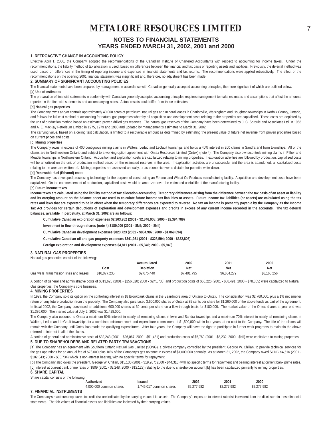## **NOTES TO FINANCIAL STATEMENTS YEARS ENDED MARCH 31, 2002, 2001 and 2000**

### **1. RETROACTIVE CHANGE IN ACCOUNTING POLICY**

Effective April 1, 2000, the Company adopted the recommendations of the Canadian Institute of Chartered Accountants with respect to accounting for income taxes. Under the recommendations, the liability method of tax allocation is used, based on differences between the financial and tax basis of reporting assets and liabilities. Previously, the deferral method was used, based on differences in the timing of reporting income and expenses in financial statements and tax returns. The recommendations were applied retroactively. The effect of the recommendations on the opening 2001 financial statement was insignificant and, therefore, no adjustment has been made.

#### **2. SUMMARY OF SIGNIFICANT ACCOUNTING POLICIES**

The financial statements have been prepared by management in accordance with Canadian generally accepted accounting principles, the more significant of which are outlined below. **[a] Use of estimates**

The preparation of financial statements in conformity with Canadian generally accepted accounting principles requires management to make estimates and assumptions that affect the amounts reported in the financial statements and accompanying notes. Actual results could differ from those estimates.

#### **[b] Natural gas properties**

The Company owns and/or controls approximately 40,000 acres of petroleum, natural gas and mineral leases in Charlottville, Walsingham and Houghton townships in Norfolk County, Ontario, and follows the full cost method of accounting for natural gas properties whereby all acquisition and development costs relating to the properties are capitalized. These costs are depleted by the unit of production method based on estimated proven drilled gas reserves. The natural gas reserves of the Company have been determined by J. C. Sproule and Associates Ltd. in 1968 and A. E. MacKay Petroleum Limited in 1975, 1979 and 1988 and updated by management's estimates to March 31, 2002.

The carrying value, based on a ceiling test calculation, is limited to a recoverable amount as determined by estimating the present value of future net revenue from proven properties based on current prices and costs.

### **[c] Mining properties**

The Company owns in excess of 400 contiguous mining claims in Walters, Leduc and LeGault townships and holds a 40% interest in 200 claims in Sandra and Irwin townships. All of the claims are in Northwestern Ontario and subject to a working option agreement with Ontex Resources Limited (Ontex) (note 4). The Company also owns/controls mining claims in Pifher and Meader townships in Northwestern Ontario. Acquisition and exploration costs are capitalized relating to mining properties. If exploration activities are followed by production, capitalized costs will be amortized on the unit of production method based on the estimated reserves in the area. If exploration activities are unsuccessful and the area is abandoned, all capitalized costs relating to the area are written-off. Mining properties are assessed annually, or as economic events dictate, for potential write-down.

#### **[d] Renewable fuel (Ethanol) costs**

The Company has developed processing technology for the purpose of constructing an Ethanol and Wheat Co-Products manufacturing facility. Acquisition and development costs have been capitalized. On the commencement of production, capitalized costs would be amortized over the estimated useful life of the manufacturing facility.

#### **[e] Future income taxes**

**Income taxes are calculated using the liability method of tax allocation accounting. Temporary differences arising from the difference between the tax basis of an asset or liability** and its carrying amount on the balance sheet are used to calculate future income tax liabilities or assets. Future income tax liabilities (or assets) are calculated using the tax **rates and laws that are expected to be in effect when the temporary differences are expected to reverse. No tax on income is presently payable by the Company as the Income Tax Act provides for certain deductions of exploration and development expenses and credits in excess of any current income recorded in the accounts. The tax deferral balances, available in perpetuity, at March 31, 2002 are as follows:**

**Cumulative Canadian exploration expenses \$2,203,952 (2001 - \$2,346,908; 2000 - \$2,394,789)**

**Investment in flow through shares (note 4) \$180,000 (2001 - \$Nil; 2000 - \$Nil)**

**Cumulative Canadian development expenses \$823,723 (2001 - \$834,987; 2000 - \$1,069,894)**

**Cumulative Canadian oil and gas property expenses \$341,951 (2001 - \$328,594; 2000 - \$332,806)**

**Foreign exploration and development expenses \$4,811 (2001 - \$5,346; 2000 - \$5,940)**

## **3. NATURAL GAS PROPERTIES**

Natural gas properties consist of the following:

|                                          |              | Accumulated      | 2002        | 2001        | 2000        |
|------------------------------------------|--------------|------------------|-------------|-------------|-------------|
|                                          | Cost         | <b>Depletion</b> | Net         | Net         | <b>Net</b>  |
| Gas wells, transmission lines and leases | \$10.077.235 | \$2.675.440      | \$7,401,795 | \$6.634.279 | \$6.168.256 |

A portion of general and administrative costs of \$313,625 (2001 - \$256,620; 2000 - \$245,733) and production costs of \$66,226 (2001 - \$88,491; 2000 - \$78,865) were capitalized to Natural Gas properties, the Company's core business.

### **4. MINING PROPERTIES**

In 1999, the Company sold its option on the controlling interest in 18 Brookbank claims in the Beardmore area of Ontario to Ontex. The consideration was \$2,760,000, plus a 1% net smelter return on any future production from the property. The Company also purchased 3,600,000 shares of Ontex at 35 cents per share for \$1,260,000 of the above funds as part of the agreement. In fiscal 2002, the Company purchased an additional 600,000 shares at 30 cents per share on a flow-through basis for \$180,000. The market value of the Ontex shares at year end was \$1,386,000. The market value at July 2, 2002 was \$1,428,000.

The Company also optioned to Ontex a maximum 60% interest in nearly all remaining claims in Irwin and Sandra townships and a maximum 70% interest in nearly all remaining claims in Walters, Leduc and LeGault townships for a combined minimum work and expenditure commitment of \$1,500,000 within four years, at no cost to the Company. The title of the claims will remain with the Company until Ontex has made the qualifying expenditures. After four years, the Company will have the right to participate in further work programs to maintain the above referred to interest in all of the claims.

A portion of general and administrative costs of \$32,243 (2001 - \$26,067; 2000 - \$51,481) and production costs of \$5,769 (2001 - \$8,232; 2000 - \$Nil) were capitalized to mining properties. **5. DUE TO SHAREHOLDERS AND RELATED PARTY TRANSACTIONS**

**[a]** The Company has an agreement with Southern Ontario Natural Gas Limited (SONG), a private company controlled by the president, George W. Chilian, to provide technical services for the gas operations for an annual fee of \$78,000 plus 10% of the Company's gas revenue in excess of \$1,000,000 annually. As at March 31, 2002, the Company owed SONG \$4,516 (2001 -\$102,343; 2000 - \$35,734) which is non-interest bearing, with no specific terms for repayment.

[b] The Company also owes the president, George W. Chilian, \$15,130 (2001 - \$19,267; 2000 - \$44,316) with no specific terms for repayment and bearing interest at current bank prime rates. **[c]** Interest at current bank prime rates of \$809 (2001 - \$2,248; 2000 - \$12,123) relating to the due to shareholder account [b] has been capitalized primarily to mining properties.

**6. SHARE CAPITAL**

| Share capital consists of the following: |                         |                         |             |             |             |
|------------------------------------------|-------------------------|-------------------------|-------------|-------------|-------------|
|                                          | Authorized              | Issued                  | 2002        | 2001        | 2000        |
|                                          | 4.000.000 common shares | 1.745.017 common shares | \$2.277.982 | \$2.277.982 | \$2.277.982 |

### **7. FINANCIAL INSTRUMENTS**

The Company's maximum exposures to credit risk are indicated by the carrying value of its assets. The Company's exposure to interest rate risk is evident from the disclosure in these financial statements. The fair values of financial assets and liabilities are indicated by their carrying values.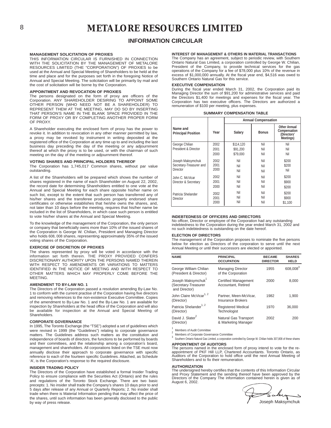## **INFORMATION CIRCULAR**

#### **MANAGEMENT SOLICITATION OF PROXIES**

THIS INFORMATION CIRCULAR IS FURNISHED IN CONNECTION WITH THE SOLICITATION BY THE MANAGEMENT OF METALORE RESOURCES LIMITED (THE "CORPORATION") OF PROXIES to be used at the Annual and Special Meeting of Shareholders to be held at the time and place and for the purposes set forth in the foregoing Notice of Annual and Special Meeting. The solicitation will be primarily by mail and the cost of solicitation will be borne by the Corporation.

### **APPOINTMENT AND REVOCATION OF PROXIES**

The persons designated on the form of proxy are officers of the Corporation. ANY SHAREHOLDER DESIRING TO APPOINT SOME OTHER PERSON (WHO NEED NOT BE A SHAREHOLDER) TO REPRESENT THEM AT THE MEETING, MAY DO SO BY INSERTING THAT PERSON'S NAME IN THE BLANK SPACE PROVIDED IN THE FORM OF PROXY OR BY COMPLETING ANOTHER PROPER FORM OF PROXY.

A Shareholder executing the enclosed form of proxy has the power to revoke it. In addition to revocation in any other manner permitted by law, a proxy may be revoked by instrument in writing deposited at the registered office of the Corporation at any time up to and including the last business day preceding the day of the meeting or any adjournment thereof at which the proxy is to be used, or with the chairman of such meeting on the day of the meeting or adjournment thereof.

### **VOTING SHARES AND PRINCIPAL HOLDERS THEREOF**

The Corporation has 1,745,017 Common shares, without par value outstanding.

A list of the Shareholders will be prepared which shows the number of shares registered in the name of each Shareholder on August 22, 2002, the record date for determining Shareholders entitled to one vote at the Annual and Special Meeting for each share opposite his/her name on such list, except to the extent that such person has transferred any of his/her shares and the transferee produces properly endorsed share certificates or otherwise establishes that he/she owns the shares, and, not later than 10 days before the meeting, requires that his/her name be included in the list of Shareholders, in which case such person is entitled to vote his/her shares at the Annual and Special Meeting.

To the knowledge of the management of the Corporation, the only person or company that beneficially owns more than 10% of the issued shares of the Corporation is George W. Chilian, President and Managing Director who holds 608, 008 shares, representing approximately 35% of the issued voting shares of the Corporation.

## **EXERCISE OF DISCRETION OF PROXIES**

The shares represented by proxy will be voted in accordance with the information set forth therein. THE PROXY PROVIDED CONFERS DISCRETIONARY AUTHORITY UPON THE PERSONS NAMED THEREIN WITH RESPECT TO AMENDMENTS OR VARIATIONS TO MATTERS IDENTIFIED IN THE NOTICE OF MEETING AND WITH RESPECT TO OTHER MATTERS WHICH MAY PROPERLY COME BEFORE THE **MEETING** 

### **AMENDMENT TO BY-LAW NO. 1**

The Directors of the Corporation passed a resolution amending By-Law No. 1 to conform with the current practise of the Corporation having five directors and removing references to the non-existence Executive Committee. Copies of the amendment to By-Law No. 1 and the By-Law No. 1 are available for inspection by Shareholders at the head office of the Corporation and will also be available for inspection at the Annual and Special Meeting of Shareholders.

### **CORPORATE GOVERNANCE**

In 1995, The Toronto Exchange (the "TSE") adopted a set of guidelines which were revised in 1999 (the "Guidelines") relating to corporate governance matters. The Guidelines address such matters as the constitution and independence of boards of directors, the functions to be performed by boards and their committees, and the relationship among a corporation's board, management and shareholders. All corporations listed on the TSE must now annually disclose their approach to corporate governance with specific reference to each of the fourteen specific Guidelines. Attached, as Schedule 'A', is the Corporation's response to the required disclosure.

#### **INSIDER TRADING POLICY**

The Directors of the Corporation have established a formal Insider Trading Policy to ensure compliance with the Securities Act (Ontario) and the rules and regulations of the Toronto Stock Exchange. There are two basic precepts: 1. No insider shall trade the Company's shares 10 days prior to and 5 days after release of any Annual or Quarterly Reports; 2. No insider shall trade when there is Material Information pending that may affect the price of the shares, until such information has been generally disclosed to the public by way of press release.

#### **INTEREST OF MANAGEMENT & OTHERS IN MATERIAL TRANSACTIONS**

The Company has an agreement, subject to periodic review, with Southern Ontario Natural Gas Limited, a corporation controlled by George W. Chilian, President of the Company, to provide technical services for the gas<br>operations of the Company for a fee of \$78,000 plus 10% of the revenue in<br>excess of \$1,000,000 annually. At the fiscal year end, \$4,516 was owed to<br>Southe

### **EXECUTIVE COMPENSATION**

During the fiscal year ended March 31, 2002, the Corporation paid its<br>Managing Director the sum of \$91,200 for administrative services and paid<br>the Directors \$1,400 for meetings and expenses for the fiscal year. The<br>Corpor remuneration of \$100 per meeting, plus expenses.

|  | <b>SUMMARY COMPENSATION TABLE</b> |  |
|--|-----------------------------------|--|
|--|-----------------------------------|--|

|                                                          |                      | <b>Annual Compensation</b> |                   |                                                                 |  |
|----------------------------------------------------------|----------------------|----------------------------|-------------------|-----------------------------------------------------------------|--|
| Name and<br><b>Principal Position</b>                    | Year                 | Salary                     | <b>Bonus</b>      | <b>Other Annual</b><br>Compensation<br>(Directors'<br>Meetings) |  |
| George Chilian                                           | 2002                 | \$114,120                  | Nil               | Nil                                                             |  |
| President & Director                                     | 2001                 | \$91.200                   | Nil               | Nil                                                             |  |
|                                                          | 2000                 | \$79.000                   | Nil               | Nil                                                             |  |
| Joseph Maksymchuk<br>Secretary-Treasurer and<br>Director | 2002<br>2001<br>2000 | Nil<br>Nil<br>Nil          | Nil<br>Nil<br>Nil | \$200<br>\$200<br>Nil                                           |  |
| John C. McVicar<br>Director & Secretary                  | 2002<br>2001<br>2000 | Nil<br>Nil<br>Nil          | Nil<br>Nil<br>Nil | \$200<br>\$900<br>\$200                                         |  |
| Patricia Shelander<br>Director                           | 2002<br>2001<br>2000 | Nil<br>Nil<br>Nil          | Nil<br>Nil<br>Nil | \$200<br>\$900<br>\$1,100                                       |  |

#### **INDEBTEDNESS OF OFFICERS AND DIRECTORS**

No officer, Director or employee of the Corporation had any outstanding indebtedness to the Corporation during the year ended March 31, 2002 and no such indebtedness is outstanding on the date hereof.

#### **ELECTION OF DIRECTORS**

The management of the Corporation proposes to nominate the five persons below for election as Directors of the corporation to serve until the next Annual Meeting or until their successors are elected or appointed.

| <b>NAME</b>                                                             | <b>PRINCIPAL</b><br><b>OCCUPATION</b>              | <b>BECAME</b><br><b>DIRECTOR</b> | <b>SHARES</b><br><b>HELD</b> |
|-------------------------------------------------------------------------|----------------------------------------------------|----------------------------------|------------------------------|
| George William Chilian<br>(President & Director)                        | <b>Managing Director</b><br>of the Corporation     | 1955                             | 608,008 <sup>3</sup>         |
| Joseph Maksymchuk <sup>1</sup><br>(Secretary-Treasurer<br>and Director) | <b>Certified Management</b><br>Accountant, Retired | 2000                             | 8,000                        |
| John Claire McVicar <sup>1, 2</sup><br>(Director)                       | Partner. Meen-McVicar.<br><b>Insurance Brokers</b> | 1982                             | 1.900                        |
| Patricia Shelander <sup>1, 2</sup><br>(Director)                        | <b>Registered Medical</b><br>Technologist          | 1970                             | 36.000                       |
| David J. Slater <sup>2</sup><br>(Director)                              | Natural Gas Transport<br>& Marketing Manager       | 2002                             | 200                          |

Members of Audit Committee<br>1 Members of Corporate Governance Committee<br>3 Southern Ontario Natural Gas Limited, a corporation controlled by George W. Chilian holds 307,808 of these shares **APPOINTMENT OF AUDITORS**

### The persons named in the enclosed form of proxy intend to vote for the re-

appointment of PKF Hill LLP, Chartered Accountants. Toronto Ontario, as Auditors of the Corporation to hold office until the next Annual Meeting of Shareholders and to fix their remuneration.

#### **AUTHORIZATION**

The undersigned hereby certifies that the contents of this Information Circular and Proxy Statement and the sending thereof have been approved by the Directors of the Company The information contained herein is given as of August 6, 2002.

Joseph Maksymchuk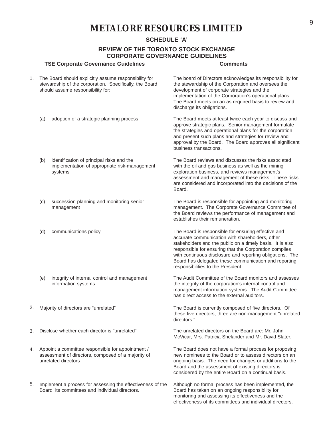## **SCHEDULE 'A'**

## **REVIEW OF THE TORONTO STOCK EXCHANGE CORPORATE GOVERNANCE GUIDELINES**

|    |                                                                                                                                | CORPORATE GOVERNANCE GUIDELINES<br><b>TSE Corporate Governance Guidelines</b>                                                                         | <b>Comments</b>                                                                                                                                                                                                                                                                                                                                                                           |
|----|--------------------------------------------------------------------------------------------------------------------------------|-------------------------------------------------------------------------------------------------------------------------------------------------------|-------------------------------------------------------------------------------------------------------------------------------------------------------------------------------------------------------------------------------------------------------------------------------------------------------------------------------------------------------------------------------------------|
| 1. |                                                                                                                                | The Board should explicitly assume responsibility for<br>stewardship of the corporation. Specifically, the Board<br>should assume responsibility for: | The board of Directors acknowledges its responsibility for<br>the stewardship of the Corporation and oversees the<br>development of corporate strategies and the<br>implementation of the Corporation's operational plans.<br>The Board meets on an as required basis to review and<br>discharge its obligations.                                                                         |
|    | (a)                                                                                                                            | adoption of a strategic planning process                                                                                                              | The Board meets at least twice each year to discuss and<br>approve strategic plans. Senior management formulate<br>the strategies and operational plans for the corporation<br>and present such plans and strategies for review and<br>approval by the Board. The Board approves all significant<br>business transactions.                                                                |
|    | (b)                                                                                                                            | identification of principal risks and the<br>implementation of appropriate risk-management<br>systems                                                 | The Board reviews and discusses the risks associated<br>with the oil and gas business as well as the mining<br>exploration business, and reviews management's<br>assessment and management of these risks. These risks<br>are considered and incorporated into the decisions of the<br>Board.                                                                                             |
|    | (c)                                                                                                                            | succession planning and monitoring senior<br>management                                                                                               | The Board is responsible for appointing and monitoring<br>management. The Corporate Governance Committee of<br>the Board reviews the performance of management and<br>establishes their remuneration.                                                                                                                                                                                     |
|    | (d)                                                                                                                            | communications policy                                                                                                                                 | The Board is responsible for ensuring effective and<br>accurate communication with shareholders, other<br>stakeholders and the public on a timely basis. It is also<br>responsible for ensuring that the Corporation complies<br>with continuous disclosure and reporting obligations. The<br>Board has delegated these communication and reporting<br>responsibilities to the President. |
|    | (e)                                                                                                                            | integrity of internal control and management<br>information systems                                                                                   | The Audit Committee of the Board monitors and assesses<br>the integrity of the corporation's internal control and<br>management information systems. The Audit Committee<br>has direct access to the external auditors.                                                                                                                                                                   |
| 2. | Majority of directors are "unrelated"                                                                                          |                                                                                                                                                       | The Board is currently composed of five directors. Of<br>these five directors, three are non-management "unrelated<br>directors."                                                                                                                                                                                                                                                         |
| 3. | Disclose whether each director is "unrelated"                                                                                  |                                                                                                                                                       | The unrelated directors on the Board are: Mr. John<br>McVicar, Mrs. Patricia Shelander and Mr. David Slater.                                                                                                                                                                                                                                                                              |
| 4. | Appoint a committee responsible for appointment /<br>assessment of directors, composed of a majority of<br>unrelated directors |                                                                                                                                                       | The Board does not have a formal process for proposing<br>new nominees to the Board or to assess directors on an<br>ongoing basis. The need for changes or additions to the<br>Board and the assessment of existing directors is<br>considered by the entire Board on a continual basis.                                                                                                  |
| 5. |                                                                                                                                | Implement a process for assessing the effectiveness of the<br>Board, its committees and individual directors.                                         | Although no formal process has been implemented, the<br>Board has taken on an ongoing responsibility for<br>monitoring and assessing its effectiveness and the                                                                                                                                                                                                                            |

effectiveness of its committees and individual directors.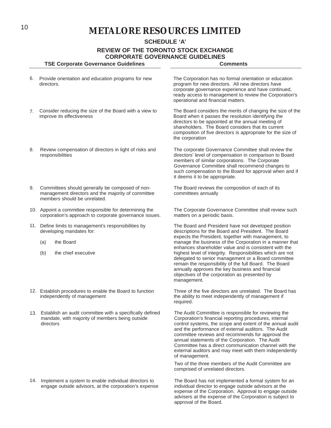**SCHEDULE 'A'**

**REVIEW OF THE TORONTO STOCK EXCHANGE CORPORATE GOVERNANCE GUIDELINES**

|    | <b>TSE Corporate Governance Guidelines</b>                                                                                            | <b>Comments</b>                                                                                                                                                                                                                                                                                                                                                                                                                                                                 |  |  |  |  |
|----|---------------------------------------------------------------------------------------------------------------------------------------|---------------------------------------------------------------------------------------------------------------------------------------------------------------------------------------------------------------------------------------------------------------------------------------------------------------------------------------------------------------------------------------------------------------------------------------------------------------------------------|--|--|--|--|
| 6. | Provide orientation and education programs for new<br>directors.                                                                      | The Corporation has no formal orientation or education<br>program for new directors. All new directors have<br>corporate governance experience and have continued,<br>ready access to management to review the Corporation's<br>operational and financial matters.                                                                                                                                                                                                              |  |  |  |  |
| 7. | Consider reducing the size of the Board with a view to<br>improve its effectiveness                                                   | The Board considers the merits of changing the size of the<br>Board when it passes the resolution identifying the<br>directors to be appointed at the annual meeting of<br>shareholders. The Board considers that its current<br>composition of five directors is appropriate for the size of<br>the corporation                                                                                                                                                                |  |  |  |  |
| 8. | Review compensation of directors in light of risks and<br>responsibilities                                                            | The corporate Governance Committee shall review the<br>directors' level of compensation in comparison to Board<br>members of similar corporations. The Corporate<br>Governance Committee shall recommend changes to<br>such compensation to the Board for approval when and if<br>it deems it to be appropriate.                                                                                                                                                                |  |  |  |  |
| 9. | Committees should generally be composed of non-<br>management directors and the majority of committee<br>members should be unrelated. | The Board reviews the composition of each of its<br>committees annually                                                                                                                                                                                                                                                                                                                                                                                                         |  |  |  |  |
|    | 10. Appoint a committee responsible for determining the<br>corporation's approach to corporate governance issues.                     | The Corporate Governance Committee shall review such<br>matters on a periodic basis.                                                                                                                                                                                                                                                                                                                                                                                            |  |  |  |  |
|    | 11. Define limits to management's responsibilities by<br>developing mandates for:<br>the Board<br>(a)                                 | The Board and President have not developed position<br>descriptions for the Board and President. The Board<br>expects the President, together with management, to<br>manage the business of the Corporation in a manner that                                                                                                                                                                                                                                                    |  |  |  |  |
|    | the chief executive<br>(b)                                                                                                            | enhances shareholder value and is consistent with the<br>highest level of integrity. Responsibilities which are not<br>delegated to senior management or a Board committee<br>remain the responsibility of the full Board. The Board<br>annually approves the key business and financial<br>objectives of the corporation as presented by<br>management.                                                                                                                        |  |  |  |  |
|    | 12. Establish procedures to enable the Board to function<br>independently of management                                               | Three of the five directors are unrelated. The Board has<br>the ability to meet independently of management if<br>required.                                                                                                                                                                                                                                                                                                                                                     |  |  |  |  |
|    | 13. Establish an audit committee with a specifically defined<br>mandate, with majority of members being outside<br>directors          | The Audit Committee is responsible for reviewing the<br>Corporation's financial reporting procedures, internal<br>control systems, the scope and extent of the annual audit<br>and the performance of external auditors. The Audit<br>committee reviews and recommends for approval the<br>annual statements of the Corporation. The Audit<br>Committee has a direct communication channel with the<br>external auditors and may meet with them independently<br>of management. |  |  |  |  |
|    |                                                                                                                                       | Two of the three members of the Audit Committee are<br>comprised of unrelated directors.                                                                                                                                                                                                                                                                                                                                                                                        |  |  |  |  |
|    | 14. Implement a system to enable individual directors to<br>engage outside advisors, at the corporation's expense                     | The Board has not implemented a formal system for an<br>individual director to engage outside advisors at the                                                                                                                                                                                                                                                                                                                                                                   |  |  |  |  |

expense of the Corporation. Approval to engage outside advisers at the expense of the Corporation is subject to

approval of the Board.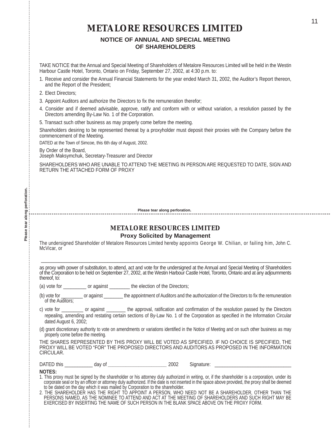# **NOTICE OF ANNUAL AND SPECIAL MEETING OF SHAREHOLDERS**

TAKE NOTICE that the Annual and Special Meeting of Shareholders of Metalore Resources Limited will be held in the Westin Harbour Castle Hotel, Toronto, Ontario on Friday, September 27, 2002, at 4:30 p.m. to:

- 1. Receive and consider the Annual Financial Statements for the year ended March 31, 2002, the Auditor's Report thereon, and the Report of the President;
- 2. Elect Directors;
- 3. Appoint Auditors and authorize the Directors to fix the remuneration therefor;
- 4. Consider and if deemed advisable, approve, ratify and conform with or without variation, a resolution passed by the Directors amending By-Law No. 1 of the Corporation.
- 5. Transact such other business as may properly come before the meeting.

Shareholders desiring to be represented thereat by a proxyholder must deposit their proxies with the Company before the commencement of the Meeting.

DATED at the Town of Simcoe, this 6th day of August, 2002.

By Order of the Board,

Joseph Maksymchuk, Secretary-Treasurer and Director

SHAREHOLDERS WHO ARE UNABLE TO ATTEND THE MEETING IN PERSON ARE REQUESTED TO DATE, SIGN AND RETURN THE ATTACHED FORM OF PROXY

**Please tear along perforation.**

## **METALORE RESOURCES LIMITED Proxy Solicited by Management**

The undersigned Shareholder of Metalore Resources Limited hereby appoints George W. Chilian, or failing him, John C. McVicar, or

as proxy with power of substitution, to attend, act and vote for the undersigned at the Annual and Special Meeting of Shareholders of the Corporation to be held on September 27, 2002, at the Westin Harbour Castle Hotel, Toronto, Ontario and at any adjournments thereof, to:

\_\_\_\_\_\_\_\_\_\_\_\_\_\_\_\_\_\_\_\_\_\_\_\_\_\_\_\_\_\_\_\_\_\_\_\_\_\_\_\_\_\_\_\_\_\_\_\_\_\_\_\_\_\_\_\_\_\_\_\_\_\_\_\_\_\_\_\_\_\_\_\_\_\_\_\_\_\_\_\_\_\_\_\_\_\_\_\_\_\_\_\_\_\_\_\_\_\_

(a) vote for example or against the election of the Directors;

- (b) vote for or against the appointment of Auditors and the authorization of the Directors to fix the remuneration of the Auditors;
- c) vote for **o** against the approval, ratification and confirmation of the resolution passed by the Directors repealing, amending and restating certain sections of By-Law No. 1 of the Corporation as specified in the Information Circular dated August 6, 2002;
- (d) grant discretionary authority to vote on amendments or variations identified in the Notice of Meeting and on such other business as may properly come before the meeting.

THE SHARES REPRESENTED BY THIS PROXY WILL BE VOTED AS SPECIFIED. IF NO CHOICE IS SPECIFIED, THE PROXY WILL BE VOTED "FOR" THE PROPOSED DIRECTORS AND AUDITORS AS PROPOSED IN THE INFORMATION CIRCULAR.

| <b>DATED</b><br>nıs |  | 01<br>uav |  | 2002 | 111 |  |
|---------------------|--|-----------|--|------|-----|--|
|---------------------|--|-----------|--|------|-----|--|

## **NOTES:**

- 1. This proxy must be signed by the shareholder or his attorney duly authorized in writing, or, if the shareholder is a corporation, under its corporate seal or by an officer or attorney duly authorized. If the date is not inserted in the space above provided, the proxy shall be deemed to be dated on the day which it was mailed by Corporation to the shareholder.
- 2. THE SHAREHOLDER HAS THE RIGHT TO APPOINT A PERSON, WHO NEED NOT BE A SHAREHOLDER, OTHER THAN THE PERSONS NAMED, AS THE NOMINEE TO ATTEND AND ACT AT THE MEETING OF SHAREHOLDERS AND SUCH RIGHT MAY BE EXERCISED BY INSERTING THE NAME OF SUCH PERSON IN THE BLANK SPACE ABOVE ON THE PROXY FORM.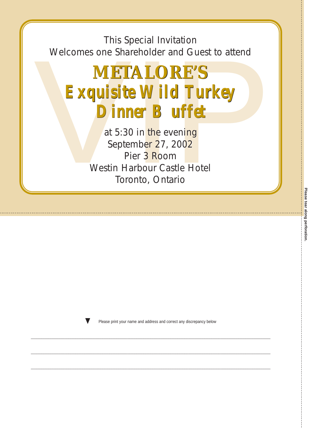This Special Invitation This Special Invitation Welcomes one Shareholder and Guest to attend



at 5:30 in <mark>the</mark> eveni<mark>ng</mark> Septemb<mark>er 2</mark>7, 200<mark>2</mark> Pier 3 <mark>R</mark>oom Westin Harbour Castle Hotel Toronto, Ontario Toronto, Ontario



Please print your name and address and correct any discrepancy below

\_\_\_\_\_\_\_\_\_\_\_\_\_\_\_\_\_\_\_\_\_\_\_\_\_\_\_\_\_\_\_\_\_\_\_\_\_\_\_\_\_\_\_\_\_\_\_\_\_\_\_\_\_\_\_\_\_\_\_\_\_\_\_\_\_\_\_\_\_\_\_\_\_\_\_\_\_\_\_\_\_\_\_\_\_\_\_\_\_\_\_\_\_\_\_\_\_\_\_\_\_\_\_\_\_\_\_\_\_\_\_\_\_\_\_\_\_\_\_\_\_\_\_\_\_\_\_\_\_\_\_\_\_\_

 $\_$  , and the state of the state of the state of the state of the state of the state of the state of the state of the state of the state of the state of the state of the state of the state of the state of the state of the

\_\_\_\_\_\_\_\_\_\_\_\_\_\_\_\_\_\_\_\_\_\_\_\_\_\_\_\_\_\_\_\_\_\_\_\_\_\_\_\_\_\_\_\_\_\_\_\_\_\_\_\_\_\_\_\_\_\_\_\_\_\_\_\_\_\_\_\_\_\_\_\_\_\_\_\_\_\_\_\_\_\_\_\_\_\_\_\_\_\_\_\_\_\_\_\_\_\_\_\_\_\_\_\_\_\_\_\_\_\_\_\_\_\_\_\_\_\_\_\_\_\_\_\_\_\_\_\_\_\_\_\_\_\_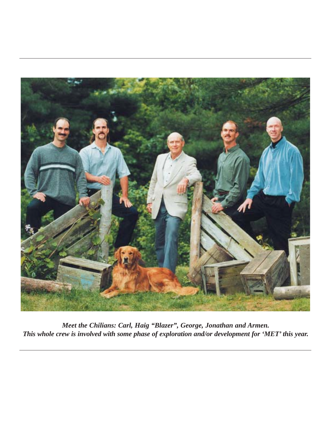

*Meet the Chilians: Carl, Haig "Blazer", George, Jonathan and Armen. This whole crew is involved with some phase of exploration and/or development for 'MET' this year.*